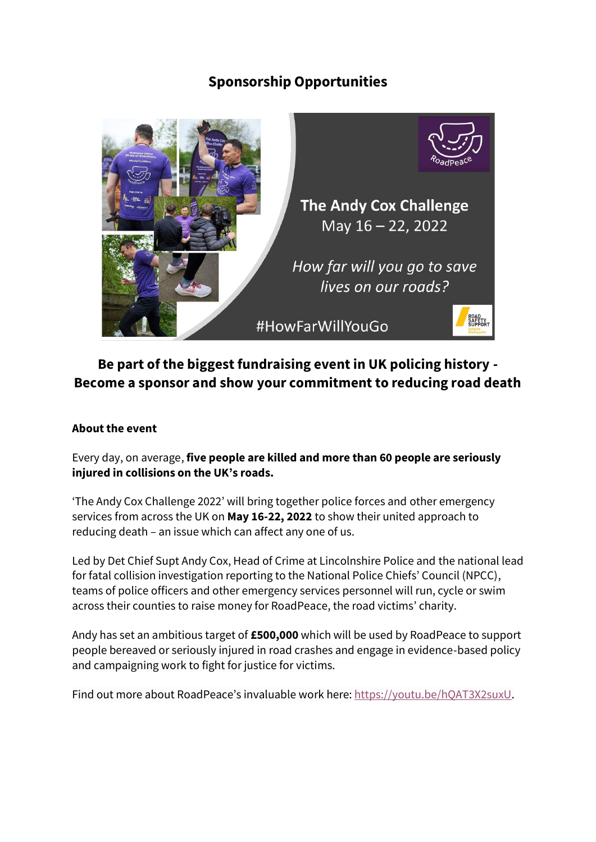## **Sponsorship Opportunities**



# **Be part of the biggest fundraising event in UK policing history - Become a sponsor and show your commitment to reducing road death**

### **About the event**

Every day, on average, **five people are killed and more than 60 people are seriously injured in collisions on the UK's roads.**

'The Andy Cox Challenge 2022' will bring together police forces and other emergency services from across the UK on **May 16-22, 2022** to show their united approach to reducing death – an issue which can affect any one of us.

Led by Det Chief Supt Andy Cox, Head of Crime at Lincolnshire Police and the national lead for fatal collision investigation reporting to the National Police Chiefs' Council (NPCC), teams of police officers and other emergency services personnel will run, cycle or swim across their counties to raise money for RoadPeace, the road victims' charity.

Andy has set an ambitious target of **£500,000** which will be used by RoadPeace to support people bereaved or seriously injured in road crashes and engage in evidence-based policy and campaigning work to fight for justice for victims.

Find out more about RoadPeace's invaluable work here: [https://youtu.be/hQAT3X2suxU.](https://youtu.be/hQAT3X2suxU)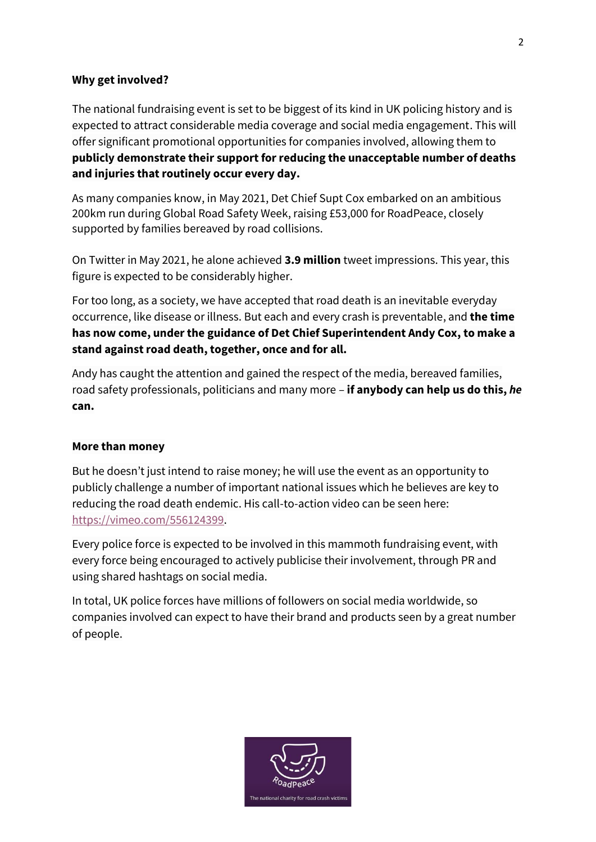#### **Why get involved?**

The national fundraising event is set to be biggest of its kind in UK policing history and is expected to attract considerable media coverage and social media engagement. This will offer significant promotional opportunities for companies involved, allowing them to **publicly demonstrate their support for reducing the unacceptable number of deaths and injuries that routinely occur every day.** 

As many companies know, in May 2021, Det Chief Supt Cox embarked on an ambitious 200km run during Global Road Safety Week, raising £53,000 for RoadPeace, closely supported by families bereaved by road collisions.

On Twitter in May 2021, he alone achieved **3.9 million** tweet impressions. This year, this figure is expected to be considerably higher.

For too long, as a society, we have accepted that road death is an inevitable everyday occurrence, like disease or illness. But each and every crash is preventable, and **the time has now come, under the guidance of Det Chief Superintendent Andy Cox, to make a stand against road death, together, once and for all.**

Andy has caught the attention and gained the respect of the media, bereaved families, road safety professionals, politicians and many more – **if anybody can help us do this,** *he* **can.**

#### **More than money**

But he doesn't just intend to raise money; he will use the event as an opportunity to publicly challenge a number of important national issues which he believes are key to reducing the road death endemic. His call-to-action video can be seen here: [https://vimeo.com/556124399.](https://vimeo.com/556124399)

Every police force is expected to be involved in this mammoth fundraising event, with every force being encouraged to actively publicise their involvement, through PR and using shared hashtags on social media.

In total, UK police forces have millions of followers on social media worldwide, so companies involved can expect to have their brand and products seen by a great number of people.